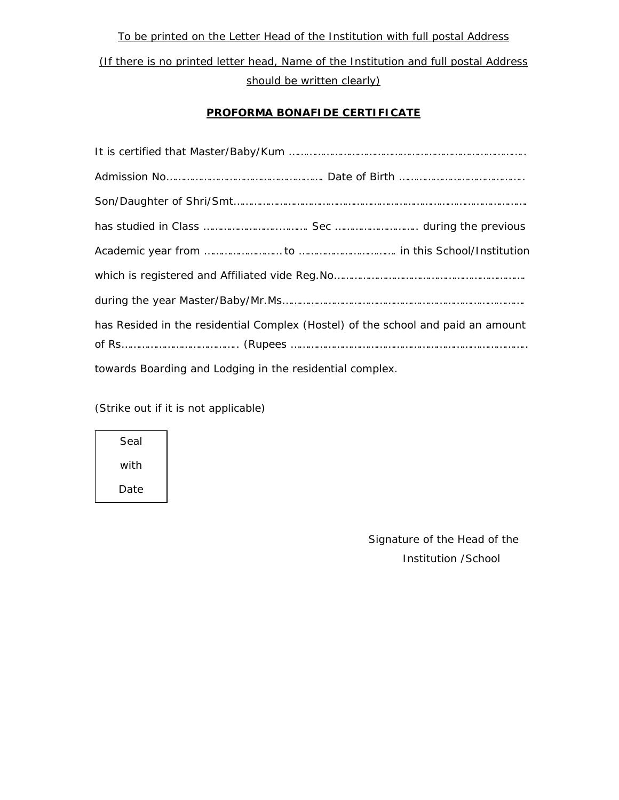*To be printed on the Letter Head of the Institution with full postal Address (If there is no printed letter head, Name of the Institution and full postal Address should be written clearly)* 

## **PROFORMA BONAFIDE CERTIFICATE**

| has Resided in the residential Complex (Hostel) of the school and paid an amount |  |  |  |  |
|----------------------------------------------------------------------------------|--|--|--|--|
|                                                                                  |  |  |  |  |
| towards Boarding and Lodging in the residential complex.                         |  |  |  |  |

(Strike out if it is not applicable)

Seal with Date

> Signature of the Head of the Institution /School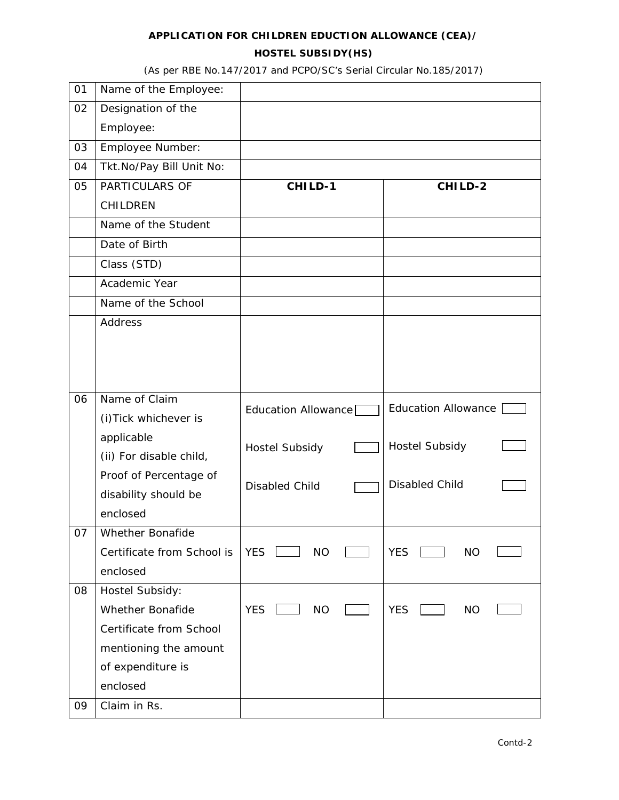# **APPLICATION FOR CHILDREN EDUCTION ALLOWANCE (CEA)/ HOSTEL SUBSIDY(HS)**

(As per RBE No.147/2017 and PCPO/SC's Serial Circular No.185/2017)

| 01 | Name of the Employee:      |                         |                            |
|----|----------------------------|-------------------------|----------------------------|
| 02 | Designation of the         |                         |                            |
|    | Employee:                  |                         |                            |
| 03 | Employee Number:           |                         |                            |
| 04 | Tkt.No/Pay Bill Unit No:   |                         |                            |
| 05 | PARTICULARS OF             | CHILD-1                 | CHILD-2                    |
|    | CHILDREN                   |                         |                            |
|    | Name of the Student        |                         |                            |
|    | Date of Birth              |                         |                            |
|    | Class (STD)                |                         |                            |
|    | Academic Year              |                         |                            |
|    | Name of the School         |                         |                            |
|    | Address                    |                         |                            |
|    |                            |                         |                            |
|    |                            |                         |                            |
|    |                            |                         |                            |
| 06 | Name of Claim              | Education Allowance     | <b>Education Allowance</b> |
|    | (i) Tick whichever is      |                         |                            |
|    | applicable                 | <b>Hostel Subsidy</b>   | <b>Hostel Subsidy</b>      |
|    | (ii) For disable child,    |                         |                            |
|    | Proof of Percentage of     | <b>Disabled Child</b>   | <b>Disabled Child</b>      |
|    | disability should be       |                         |                            |
|    | enclosed                   |                         |                            |
| 07 | Whether Bonafide           |                         |                            |
|    | Certificate from School is | <b>YES</b><br><b>NO</b> | <b>YES</b><br><b>NO</b>    |
|    | enclosed                   |                         |                            |
| 08 | Hostel Subsidy:            |                         |                            |
|    | <b>Whether Bonafide</b>    | <b>YES</b><br><b>NO</b> | <b>YES</b><br><b>NO</b>    |
|    | Certificate from School    |                         |                            |
|    | mentioning the amount      |                         |                            |
|    | of expenditure is          |                         |                            |
|    | enclosed                   |                         |                            |
| 09 | Claim in Rs.               |                         |                            |